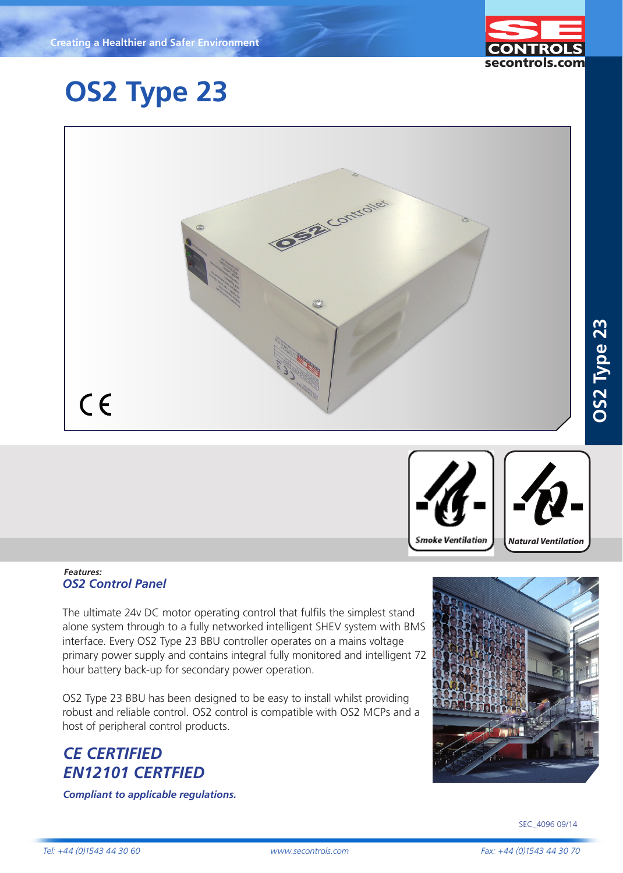

## **OS2 Type 23**



#### *Features: OS2 Control Panel*

The ultimate 24v DC motor operating control that fulfils the simplest stand alone system through to a fully networked intelligent SHEV system with BMS interface. Every OS2 Type 23 BBU controller operates on a mains voltage primary power supply and contains integral fully monitored and intelligent 72 hour battery back-up for secondary power operation.

OS2 Type 23 BBU has been designed to be easy to install whilst providing robust and reliable control. OS2 control is compatible with OS2 MCPs and a host of peripheral control products.

## *CE CERTIFIED EN12101 CERTFIED*

*Compliant to applicable regulations.*



**Smoke Ventilation** 

*Natural Ventilation*

**FIXINGS & BRACKETS**

**OS2 Type 23**

OS2 Type 23

SEC\_4096 09/14